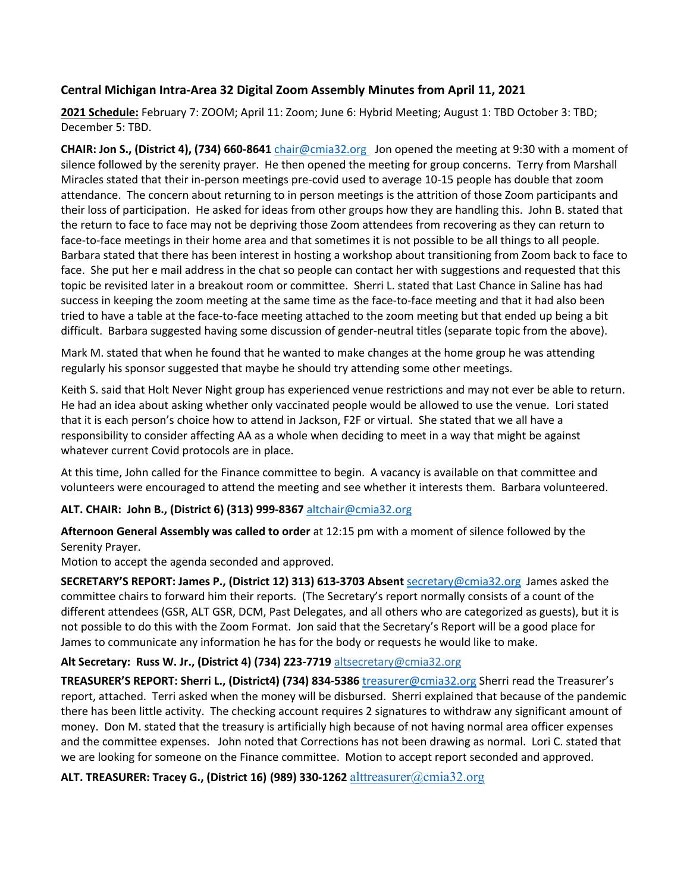# **Central Michigan Intra-Area 32 Digital Zoom Assembly Minutes from April 11, 2021**

**2021 Schedule:** February 7: ZOOM; April 11: Zoom; June 6: Hybrid Meeting; August 1: TBD October 3: TBD; December 5: TBD.

**CHAIR: Jon S., (District 4), (734) 660-8641** chair@cmia32.org Jon opened the meeting at 9:30 with a moment of silence followed by the serenity prayer. He then opened the meeting for group concerns. Terry from Marshall Miracles stated that their in-person meetings pre-covid used to average 10-15 people has double that zoom attendance. The concern about returning to in person meetings is the attrition of those Zoom participants and their loss of participation. He asked for ideas from other groups how they are handling this. John B. stated that the return to face to face may not be depriving those Zoom attendees from recovering as they can return to face-to-face meetings in their home area and that sometimes it is not possible to be all things to all people. Barbara stated that there has been interest in hosting a workshop about transitioning from Zoom back to face to face. She put her e mail address in the chat so people can contact her with suggestions and requested that this topic be revisited later in a breakout room or committee. Sherri L. stated that Last Chance in Saline has had success in keeping the zoom meeting at the same time as the face-to-face meeting and that it had also been tried to have a table at the face-to-face meeting attached to the zoom meeting but that ended up being a bit difficult. Barbara suggested having some discussion of gender-neutral titles (separate topic from the above).

Mark M. stated that when he found that he wanted to make changes at the home group he was attending regularly his sponsor suggested that maybe he should try attending some other meetings.

Keith S. said that Holt Never Night group has experienced venue restrictions and may not ever be able to return. He had an idea about asking whether only vaccinated people would be allowed to use the venue. Lori stated that it is each person's choice how to attend in Jackson, F2F or virtual. She stated that we all have a responsibility to consider affecting AA as a whole when deciding to meet in a way that might be against whatever current Covid protocols are in place.

At this time, John called for the Finance committee to begin. A vacancy is available on that committee and volunteers were encouraged to attend the meeting and see whether it interests them. Barbara volunteered.

# **ALT. CHAIR: John B., (District 6) (313) 999-8367** altchair@cmia32.org

**Afternoon General Assembly was called to order** at 12:15 pm with a moment of silence followed by the Serenity Prayer.

Motion to accept the agenda seconded and approved.

**SECRETARY'S REPORT: James P., (District 12) 313) 613-3703 Absent** secretary@cmia32.org James asked the committee chairs to forward him their reports. (The Secretary's report normally consists of a count of the different attendees (GSR, ALT GSR, DCM, Past Delegates, and all others who are categorized as guests), but it is not possible to do this with the Zoom Format. Jon said that the Secretary's Report will be a good place for James to communicate any information he has for the body or requests he would like to make.

# **Alt Secretary: Russ W. Jr., (District 4) (734) 223-7719** altsecretary@cmia32.org

**TREASURER'S REPORT: Sherri L., (District4) (734) 834-5386** treasurer@cmia32.org Sherri read the Treasurer's report, attached. Terri asked when the money will be disbursed. Sherri explained that because of the pandemic there has been little activity. The checking account requires 2 signatures to withdraw any significant amount of money. Don M. stated that the treasury is artificially high because of not having normal area officer expenses and the committee expenses. John noted that Corrections has not been drawing as normal. Lori C. stated that we are looking for someone on the Finance committee. Motion to accept report seconded and approved.

**ALT. TREASURER: Tracey G., (District 16) (989) 330-1262** alttreasurer@cmia32.org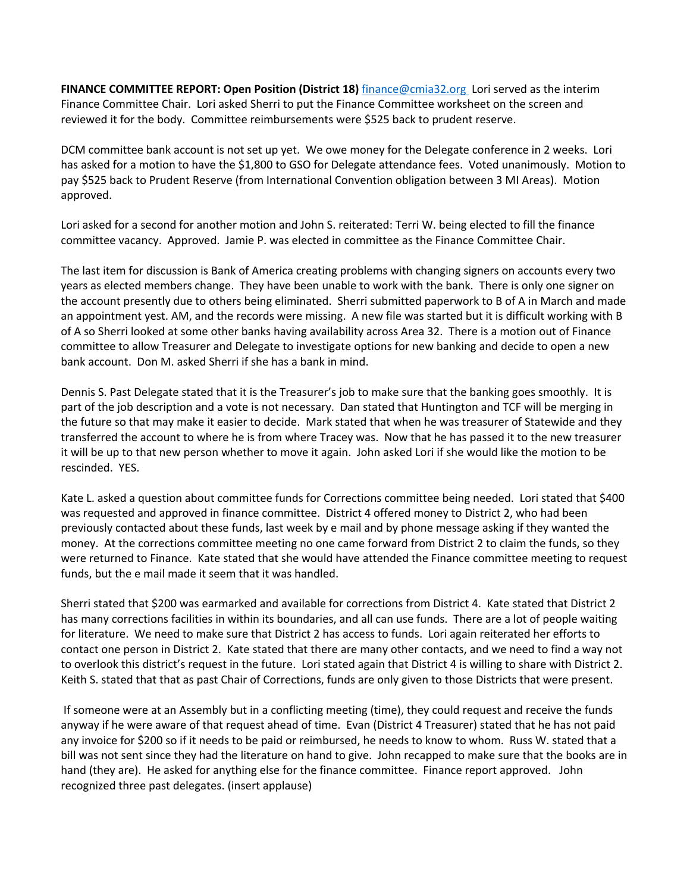**FINANCE COMMITTEE REPORT: Open Position (District 18)** finance@cmia32.org Lori served as the interim Finance Committee Chair. Lori asked Sherri to put the Finance Committee worksheet on the screen and reviewed it for the body. Committee reimbursements were \$525 back to prudent reserve.

DCM committee bank account is not set up yet. We owe money for the Delegate conference in 2 weeks. Lori has asked for a motion to have the \$1,800 to GSO for Delegate attendance fees. Voted unanimously. Motion to pay \$525 back to Prudent Reserve (from International Convention obligation between 3 MI Areas). Motion approved.

Lori asked for a second for another motion and John S. reiterated: Terri W. being elected to fill the finance committee vacancy. Approved. Jamie P. was elected in committee as the Finance Committee Chair.

The last item for discussion is Bank of America creating problems with changing signers on accounts every two years as elected members change. They have been unable to work with the bank. There is only one signer on the account presently due to others being eliminated. Sherri submitted paperwork to B of A in March and made an appointment yest. AM, and the records were missing. A new file was started but it is difficult working with B of A so Sherri looked at some other banks having availability across Area 32. There is a motion out of Finance committee to allow Treasurer and Delegate to investigate options for new banking and decide to open a new bank account. Don M. asked Sherri if she has a bank in mind.

Dennis S. Past Delegate stated that it is the Treasurer's job to make sure that the banking goes smoothly. It is part of the job description and a vote is not necessary. Dan stated that Huntington and TCF will be merging in the future so that may make it easier to decide. Mark stated that when he was treasurer of Statewide and they transferred the account to where he is from where Tracey was. Now that he has passed it to the new treasurer it will be up to that new person whether to move it again. John asked Lori if she would like the motion to be rescinded. YES.

Kate L. asked a question about committee funds for Corrections committee being needed. Lori stated that \$400 was requested and approved in finance committee. District 4 offered money to District 2, who had been previously contacted about these funds, last week by e mail and by phone message asking if they wanted the money. At the corrections committee meeting no one came forward from District 2 to claim the funds, so they were returned to Finance. Kate stated that she would have attended the Finance committee meeting to request funds, but the e mail made it seem that it was handled.

Sherri stated that \$200 was earmarked and available for corrections from District 4. Kate stated that District 2 has many corrections facilities in within its boundaries, and all can use funds. There are a lot of people waiting for literature. We need to make sure that District 2 has access to funds. Lori again reiterated her efforts to contact one person in District 2. Kate stated that there are many other contacts, and we need to find a way not to overlook this district's request in the future. Lori stated again that District 4 is willing to share with District 2. Keith S. stated that that as past Chair of Corrections, funds are only given to those Districts that were present.

If someone were at an Assembly but in a conflicting meeting (time), they could request and receive the funds anyway if he were aware of that request ahead of time. Evan (District 4 Treasurer) stated that he has not paid any invoice for \$200 so if it needs to be paid or reimbursed, he needs to know to whom. Russ W. stated that a bill was not sent since they had the literature on hand to give. John recapped to make sure that the books are in hand (they are). He asked for anything else for the finance committee. Finance report approved. John recognized three past delegates. (insert applause)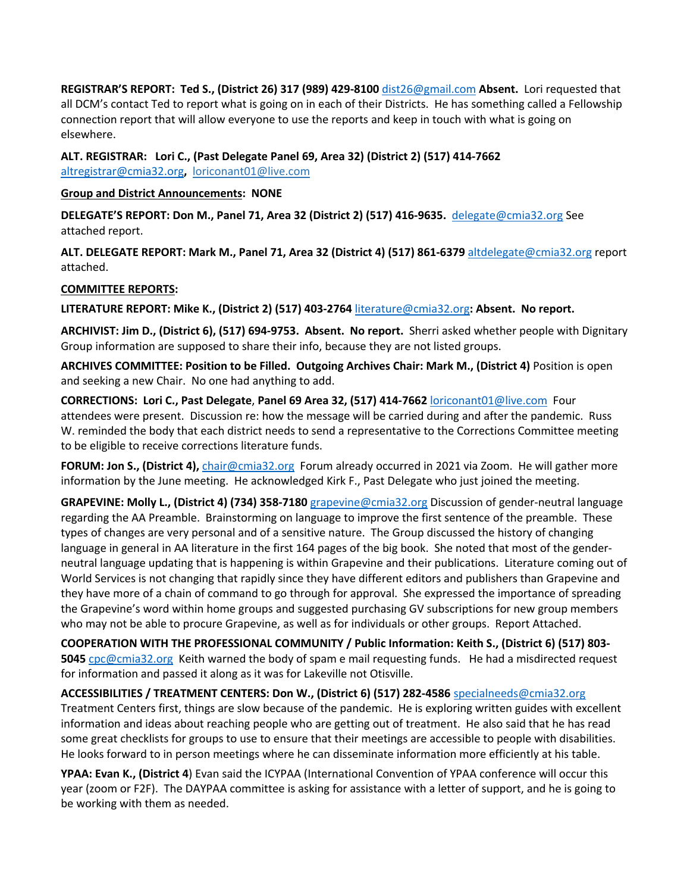**REGISTRAR'S REPORT: Ted S., (District 26) 317 (989) 429-8100** dist26@gmail.com **Absent.** Lori requested that all DCM's contact Ted to report what is going on in each of their Districts. He has something called a Fellowship connection report that will allow everyone to use the reports and keep in touch with what is going on elsewhere.

**ALT. REGISTRAR: Lori C., (Past Delegate Panel 69, Area 32) (District 2) (517) 414-7662** altregistrar@cmia32.org**,** loriconant01@live.com

#### **Group and District Announcements: NONE**

**DELEGATE'S REPORT: Don M., Panel 71, Area 32 (District 2) (517) 416-9635.** delegate@cmia32.org See attached report.

**ALT. DELEGATE REPORT: Mark M., Panel 71, Area 32 (District 4) (517) 861-6379** altdelegate@cmia32.org report attached.

## **COMMITTEE REPORTS:**

**LITERATURE REPORT: Mike K., (District 2) (517) 403-2764** literature@cmia32.org**: Absent. No report.** 

**ARCHIVIST: Jim D., (District 6), (517) 694-9753. Absent. No report.** Sherri asked whether people with Dignitary Group information are supposed to share their info, because they are not listed groups.

**ARCHIVES COMMITTEE: Position to be Filled. Outgoing Archives Chair: Mark M., (District 4)** Position is open and seeking a new Chair. No one had anything to add.

**CORRECTIONS: Lori C., Past Delegate**, **Panel 69 Area 32, (517) 414-7662** loriconant01@live.com Four attendees were present. Discussion re: how the message will be carried during and after the pandemic. Russ W. reminded the body that each district needs to send a representative to the Corrections Committee meeting to be eligible to receive corrections literature funds.

**FORUM: Jon S., (District 4),** chair@cmia32.org Forum already occurred in 2021 via Zoom. He will gather more information by the June meeting. He acknowledged Kirk F., Past Delegate who just joined the meeting.

**GRAPEVINE: Molly L., (District 4) (734) 358-7180** grapevine@cmia32.org Discussion of gender-neutral language regarding the AA Preamble. Brainstorming on language to improve the first sentence of the preamble. These types of changes are very personal and of a sensitive nature. The Group discussed the history of changing language in general in AA literature in the first 164 pages of the big book. She noted that most of the genderneutral language updating that is happening is within Grapevine and their publications. Literature coming out of World Services is not changing that rapidly since they have different editors and publishers than Grapevine and they have more of a chain of command to go through for approval. She expressed the importance of spreading the Grapevine's word within home groups and suggested purchasing GV subscriptions for new group members who may not be able to procure Grapevine, as well as for individuals or other groups. Report Attached.

**COOPERATION WITH THE PROFESSIONAL COMMUNITY / Public Information: Keith S., (District 6) (517) 803- 5045** cpc@cmia32.orgKeith warned the body of spam e mail requesting funds. He had a misdirected request for information and passed it along as it was for Lakeville not Otisville.

**ACCESSIBILITIES / TREATMENT CENTERS: Don W., (District 6) (517) 282-4586** specialneeds@cmia32.org Treatment Centers first, things are slow because of the pandemic. He is exploring written guides with excellent information and ideas about reaching people who are getting out of treatment. He also said that he has read some great checklists for groups to use to ensure that their meetings are accessible to people with disabilities. He looks forward to in person meetings where he can disseminate information more efficiently at his table.

**YPAA: Evan K., (District 4**) Evan said the ICYPAA (International Convention of YPAA conference will occur this year (zoom or F2F). The DAYPAA committee is asking for assistance with a letter of support, and he is going to be working with them as needed.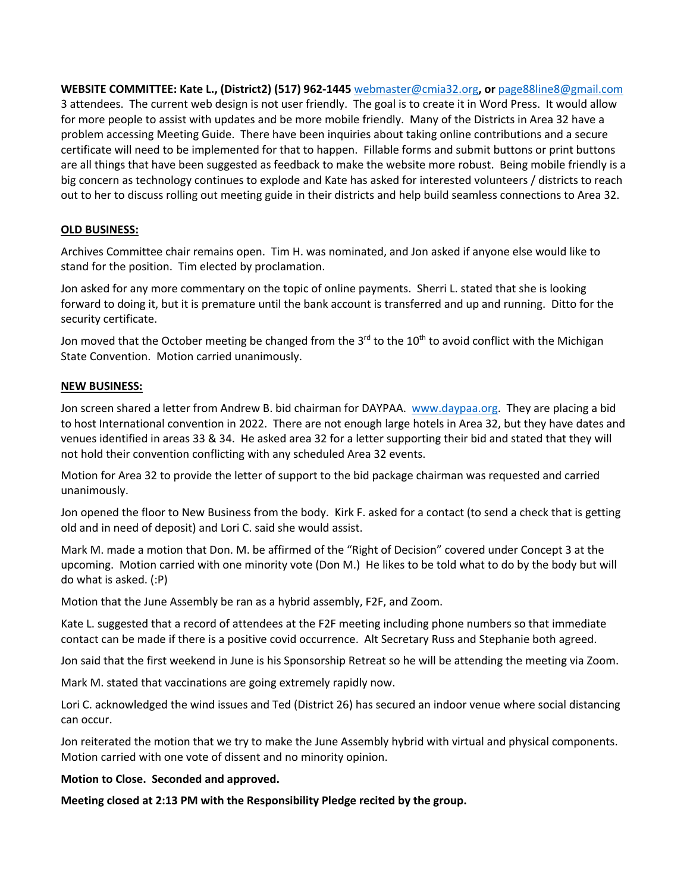**WEBSITE COMMITTEE: Kate L., (District2) (517) 962-1445** webmaster@cmia32.org**, or** page88line8@gmail.com 3 attendees. The current web design is not user friendly. The goal is to create it in Word Press. It would allow for more people to assist with updates and be more mobile friendly. Many of the Districts in Area 32 have a problem accessing Meeting Guide. There have been inquiries about taking online contributions and a secure certificate will need to be implemented for that to happen. Fillable forms and submit buttons or print buttons are all things that have been suggested as feedback to make the website more robust. Being mobile friendly is a big concern as technology continues to explode and Kate has asked for interested volunteers / districts to reach out to her to discuss rolling out meeting guide in their districts and help build seamless connections to Area 32.

# **OLD BUSINESS:**

Archives Committee chair remains open. Tim H. was nominated, and Jon asked if anyone else would like to stand for the position. Tim elected by proclamation.

Jon asked for any more commentary on the topic of online payments. Sherri L. stated that she is looking forward to doing it, but it is premature until the bank account is transferred and up and running. Ditto for the security certificate.

Jon moved that the October meeting be changed from the 3<sup>rd</sup> to the 10<sup>th</sup> to avoid conflict with the Michigan State Convention. Motion carried unanimously.

## **NEW BUSINESS:**

Jon screen shared a letter from Andrew B. bid chairman for DAYPAA. www.daypaa.org. They are placing a bid to host International convention in 2022. There are not enough large hotels in Area 32, but they have dates and venues identified in areas 33 & 34. He asked area 32 for a letter supporting their bid and stated that they will not hold their convention conflicting with any scheduled Area 32 events.

Motion for Area 32 to provide the letter of support to the bid package chairman was requested and carried unanimously.

Jon opened the floor to New Business from the body. Kirk F. asked for a contact (to send a check that is getting old and in need of deposit) and Lori C. said she would assist.

Mark M. made a motion that Don. M. be affirmed of the "Right of Decision" covered under Concept 3 at the upcoming. Motion carried with one minority vote (Don M.) He likes to be told what to do by the body but will do what is asked. (:P)

Motion that the June Assembly be ran as a hybrid assembly, F2F, and Zoom.

Kate L. suggested that a record of attendees at the F2F meeting including phone numbers so that immediate contact can be made if there is a positive covid occurrence. Alt Secretary Russ and Stephanie both agreed.

Jon said that the first weekend in June is his Sponsorship Retreat so he will be attending the meeting via Zoom.

Mark M. stated that vaccinations are going extremely rapidly now.

Lori C. acknowledged the wind issues and Ted (District 26) has secured an indoor venue where social distancing can occur.

Jon reiterated the motion that we try to make the June Assembly hybrid with virtual and physical components. Motion carried with one vote of dissent and no minority opinion.

## **Motion to Close. Seconded and approved.**

**Meeting closed at 2:13 PM with the Responsibility Pledge recited by the group.**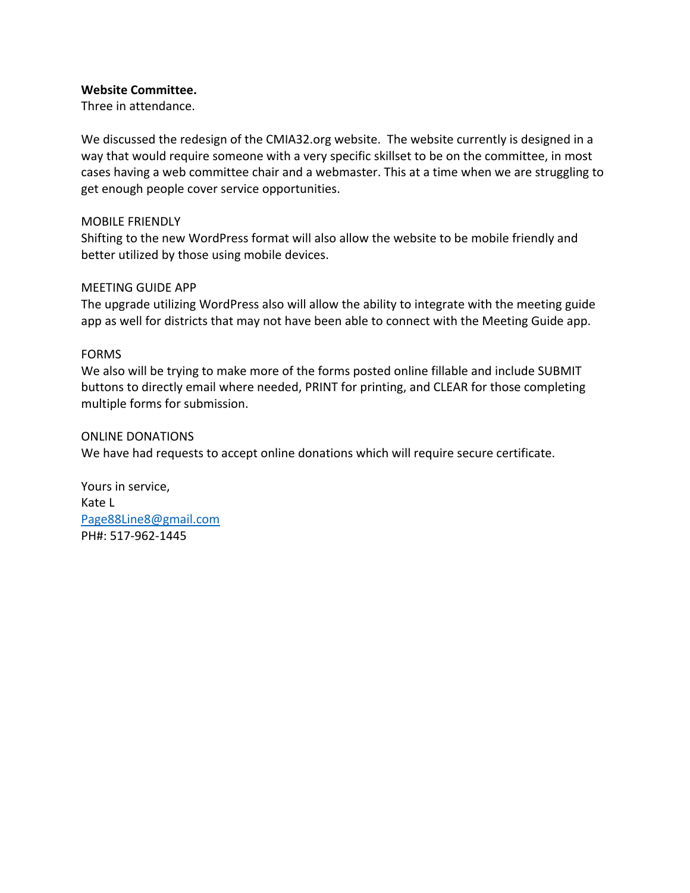## **Website Committee.**

Three in attendance.

We discussed the redesign of the CMIA32.org website. The website currently is designed in a way that would require someone with a very specific skillset to be on the committee, in most cases having a web committee chair and a webmaster. This at a time when we are struggling to get enough people cover service opportunities.

## MOBILE FRIENDLY

Shifting to the new WordPress format will also allow the website to be mobile friendly and better utilized by those using mobile devices.

## MEETING GUIDE APP

The upgrade utilizing WordPress also will allow the ability to integrate with the meeting guide app as well for districts that may not have been able to connect with the Meeting Guide app.

## FORMS

We also will be trying to make more of the forms posted online fillable and include SUBMIT buttons to directly email where needed, PRINT for printing, and CLEAR for those completing multiple forms for submission.

# ONLINE DONATIONS

We have had requests to accept online donations which will require secure certificate.

Yours in service, Kate L Page88Line8@gmail.com PH#: 517-962-1445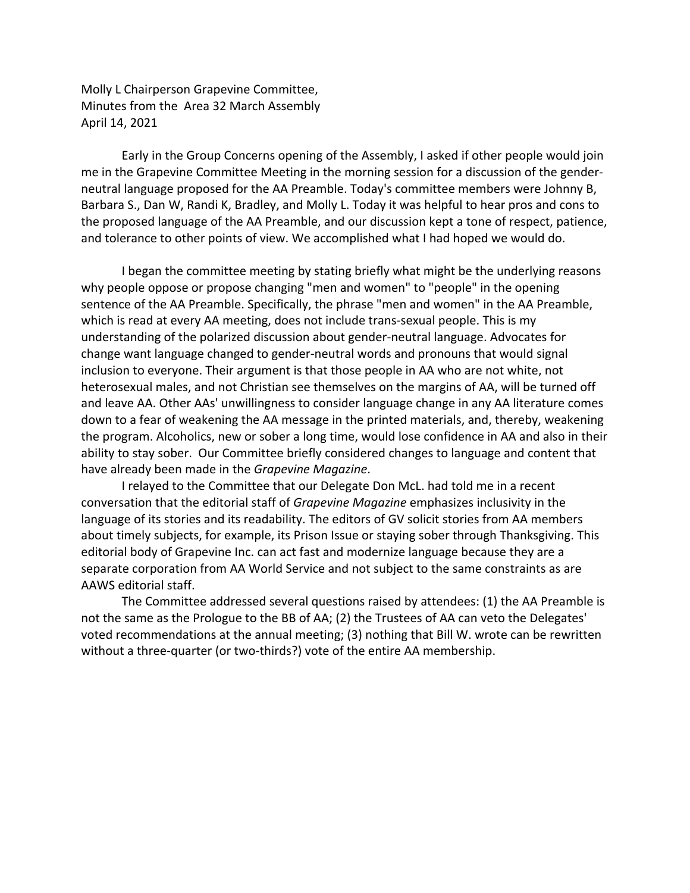Molly L Chairperson Grapevine Committee, Minutes from the Area 32 March Assembly April 14, 2021

Early in the Group Concerns opening of the Assembly, I asked if other people would join me in the Grapevine Committee Meeting in the morning session for a discussion of the genderneutral language proposed for the AA Preamble. Today's committee members were Johnny B, Barbara S., Dan W, Randi K, Bradley, and Molly L. Today it was helpful to hear pros and cons to the proposed language of the AA Preamble, and our discussion kept a tone of respect, patience, and tolerance to other points of view. We accomplished what I had hoped we would do.

I began the committee meeting by stating briefly what might be the underlying reasons why people oppose or propose changing "men and women" to "people" in the opening sentence of the AA Preamble. Specifically, the phrase "men and women" in the AA Preamble, which is read at every AA meeting, does not include trans-sexual people. This is my understanding of the polarized discussion about gender-neutral language. Advocates for change want language changed to gender-neutral words and pronouns that would signal inclusion to everyone. Their argument is that those people in AA who are not white, not heterosexual males, and not Christian see themselves on the margins of AA, will be turned off and leave AA. Other AAs' unwillingness to consider language change in any AA literature comes down to a fear of weakening the AA message in the printed materials, and, thereby, weakening the program. Alcoholics, new or sober a long time, would lose confidence in AA and also in their ability to stay sober. Our Committee briefly considered changes to language and content that have already been made in the *Grapevine Magazine*.

I relayed to the Committee that our Delegate Don McL. had told me in a recent conversation that the editorial staff of *Grapevine Magazine* emphasizes inclusivity in the language of its stories and its readability. The editors of GV solicit stories from AA members about timely subjects, for example, its Prison Issue or staying sober through Thanksgiving. This editorial body of Grapevine Inc. can act fast and modernize language because they are a separate corporation from AA World Service and not subject to the same constraints as are AAWS editorial staff.

The Committee addressed several questions raised by attendees: (1) the AA Preamble is not the same as the Prologue to the BB of AA; (2) the Trustees of AA can veto the Delegates' voted recommendations at the annual meeting; (3) nothing that Bill W. wrote can be rewritten without a three-quarter (or two-thirds?) vote of the entire AA membership.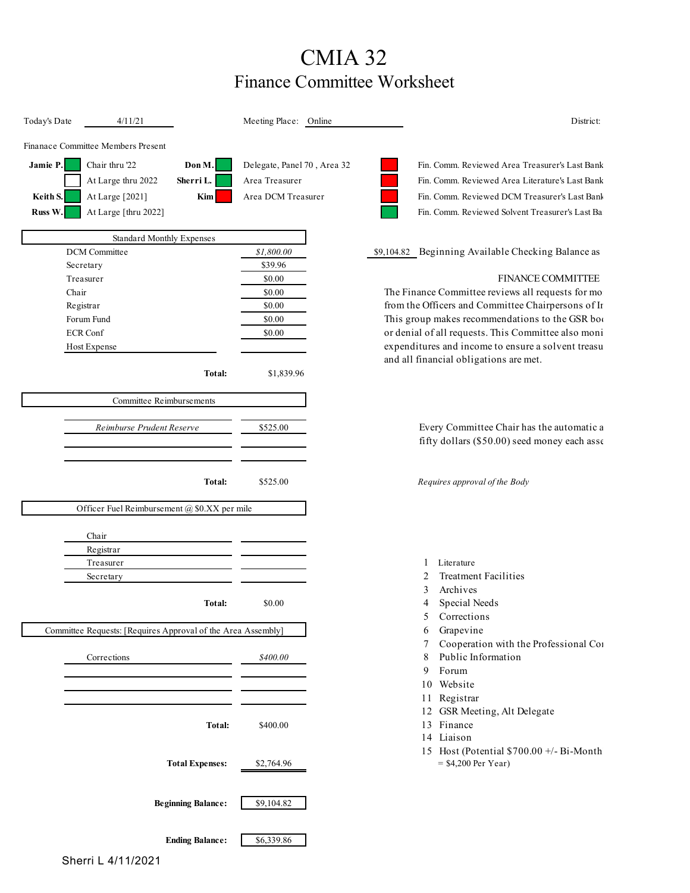# CMIA 32 Finance Committee Worksheet

| Today's Date                                                 | 4/11/21                                      |                           | Meeting Place: Online                     | District:                                                    |
|--------------------------------------------------------------|----------------------------------------------|---------------------------|-------------------------------------------|--------------------------------------------------------------|
|                                                              | Finanace Committee Members Present           |                           |                                           |                                                              |
| Jamie P.                                                     | Chair thru '22                               | Don M.                    | Delegate, Panel 70, Area 32               | Fin. Comm. Reviewed Area Treasurer's Last Bank               |
|                                                              | At Large thru 2022                           | Sherri L.                 | Area Treasurer                            | Fin. Comm. Reviewed Area Literature's Last Bank              |
| Keith S.                                                     | At Large [2021]                              | Kim                       | Area DCM Treasurer                        | Fin. Comm. Reviewed DCM Treasurer's Last Bank                |
| Russ W.                                                      | At Large [thru 2022]                         |                           |                                           | Fin. Comm. Reviewed Solvent Treasurer's Last Ba              |
|                                                              |                                              |                           |                                           |                                                              |
|                                                              | <b>Standard Monthly Expenses</b>             |                           |                                           |                                                              |
|                                                              | <b>DCM</b> Committee                         |                           | \$1,800.00                                | \$9,104.82 Beginning Available Checking Balance as           |
|                                                              | Secretary                                    |                           | \$39.96                                   | <b>FINANCE COMMITTEE</b>                                     |
| Chair                                                        | Treasurer                                    |                           | \$0.00<br>\$0.00                          | The Finance Committee reviews all requests for mo            |
|                                                              | Registrar                                    |                           | \$0.00                                    | from the Officers and Committee Chairpersons of Ir           |
| Forum Fund                                                   |                                              |                           | \$0.00                                    | This group makes recommendations to the GSR boo              |
| <b>ECR Conf</b>                                              |                                              |                           | \$0.00                                    | or denial of all requests. This Committee also moni          |
| Host Expense                                                 |                                              |                           |                                           | expenditures and income to ensure a solvent treasu           |
|                                                              |                                              |                           |                                           | and all financial obligations are met.                       |
|                                                              |                                              | Total:                    | \$1,839.96                                |                                                              |
|                                                              | Committee Reimbursements                     |                           |                                           |                                                              |
|                                                              |                                              |                           |                                           |                                                              |
| Reimburse Prudent Reserve                                    |                                              | \$525.00                  | Every Committee Chair has the automatic a |                                                              |
|                                                              |                                              |                           |                                           | fifty dollars (\$50.00) seed money each asse                 |
|                                                              |                                              |                           |                                           |                                                              |
|                                                              |                                              | Total:                    | \$525.00                                  | Requires approval of the Body                                |
|                                                              |                                              |                           |                                           |                                                              |
|                                                              | Officer Fuel Reimbursement @ \$0.XX per mile |                           |                                           |                                                              |
|                                                              | Chair                                        |                           |                                           |                                                              |
|                                                              | Registrar                                    |                           |                                           |                                                              |
|                                                              | Treasurer                                    |                           |                                           | Literature                                                   |
|                                                              | Secretary                                    |                           |                                           | <b>Treatment Facilities</b><br>2                             |
|                                                              |                                              |                           |                                           | Archives<br>3                                                |
|                                                              |                                              | Total:                    | \$0.00                                    | Special Needs<br>4                                           |
|                                                              |                                              |                           |                                           | Corrections<br>$\mathcal{L}$                                 |
| Committee Requests: [Requires Approval of the Area Assembly] |                                              |                           |                                           | Grapevine<br>6<br>Cooperation with the Professional Co1<br>7 |
|                                                              | Corrections                                  |                           | \$400.00                                  | Public Information<br>8                                      |
|                                                              |                                              |                           |                                           | Forum<br>9                                                   |
|                                                              |                                              |                           |                                           | 10 Website                                                   |
|                                                              |                                              |                           |                                           | Registrar<br>11                                              |
|                                                              |                                              |                           |                                           | 12 GSR Meeting, Alt Delegate                                 |
|                                                              |                                              | Total:                    | \$400.00                                  | 13 Finance                                                   |
|                                                              |                                              |                           |                                           | 14 Liaison                                                   |
|                                                              |                                              |                           |                                           | 15 Host (Potential \$700.00 +/- Bi-Month                     |
|                                                              |                                              | <b>Total Expenses:</b>    | \$2,764.96                                | $=$ \$4,200 Per Year)                                        |
|                                                              |                                              |                           |                                           |                                                              |
|                                                              |                                              | <b>Beginning Balance:</b> | \$9,104.82                                |                                                              |
|                                                              |                                              |                           |                                           |                                                              |
|                                                              |                                              | <b>Ending Balance:</b>    | \$6,339.86                                |                                                              |